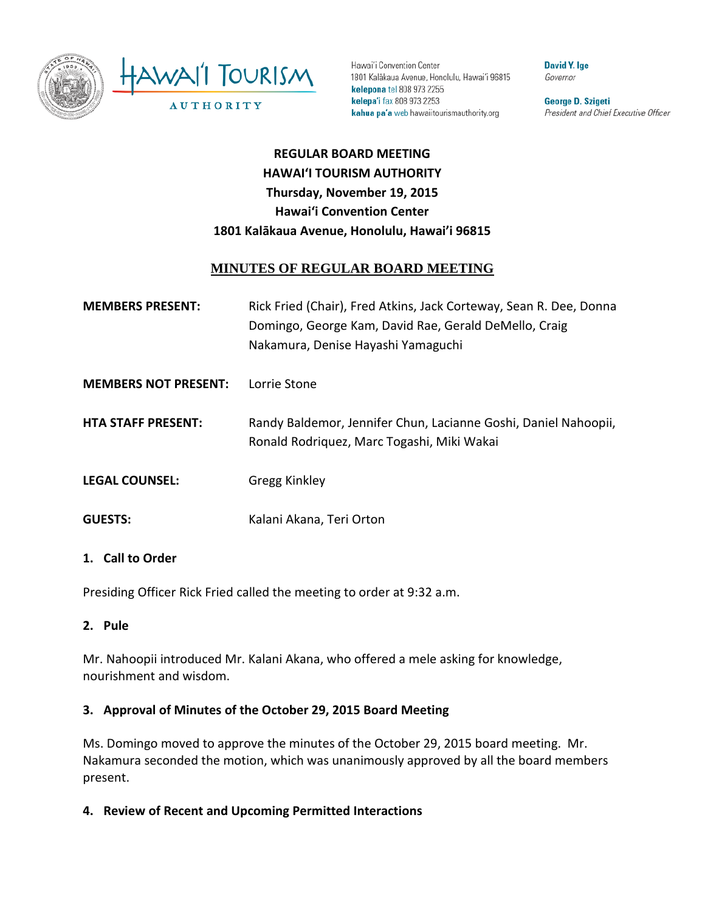

Hawai'i Convention Center 1801 Kalākaua Avenue, Honolulu, Hawai'i 96815 kelepona tel 808 973 2255 kelepa'i fax 808 973 2253 kahua pa'a web hawaiitourismauthority.org

**David Y. Ige** Governor

George D. Szigeti President and Chief Executive Officer

# **REGULAR BOARD MEETING HAWAI'I TOURISM AUTHORITY Thursday, November 19, 2015 Hawai'i Convention Center 1801 Kalākaua Avenue, Honolulu, Hawai'i 96815**

# **MINUTES OF REGULAR BOARD MEETING**

| <b>MEMBERS PRESENT:</b>     | Rick Fried (Chair), Fred Atkins, Jack Corteway, Sean R. Dee, Donna<br>Domingo, George Kam, David Rae, Gerald DeMello, Craig<br>Nakamura, Denise Hayashi Yamaguchi |
|-----------------------------|-------------------------------------------------------------------------------------------------------------------------------------------------------------------|
| <b>MEMBERS NOT PRESENT:</b> | Lorrie Stone                                                                                                                                                      |
| <b>HTA STAFF PRESENT:</b>   | Randy Baldemor, Jennifer Chun, Lacianne Goshi, Daniel Nahoopii,<br>Ronald Rodriguez, Marc Togashi, Miki Wakai                                                     |
| <b>LEGAL COUNSEL:</b>       | Gregg Kinkley                                                                                                                                                     |
| <b>GUESTS:</b>              | Kalani Akana, Teri Orton                                                                                                                                          |

#### **1. Call to Order**

Presiding Officer Rick Fried called the meeting to order at 9:32 a.m.

#### **2. Pule**

Mr. Nahoopii introduced Mr. Kalani Akana, who offered a mele asking for knowledge, nourishment and wisdom.

#### **3. Approval of Minutes of the October 29, 2015 Board Meeting**

Ms. Domingo moved to approve the minutes of the October 29, 2015 board meeting. Mr. Nakamura seconded the motion, which was unanimously approved by all the board members present.

**4. Review of Recent and Upcoming Permitted Interactions**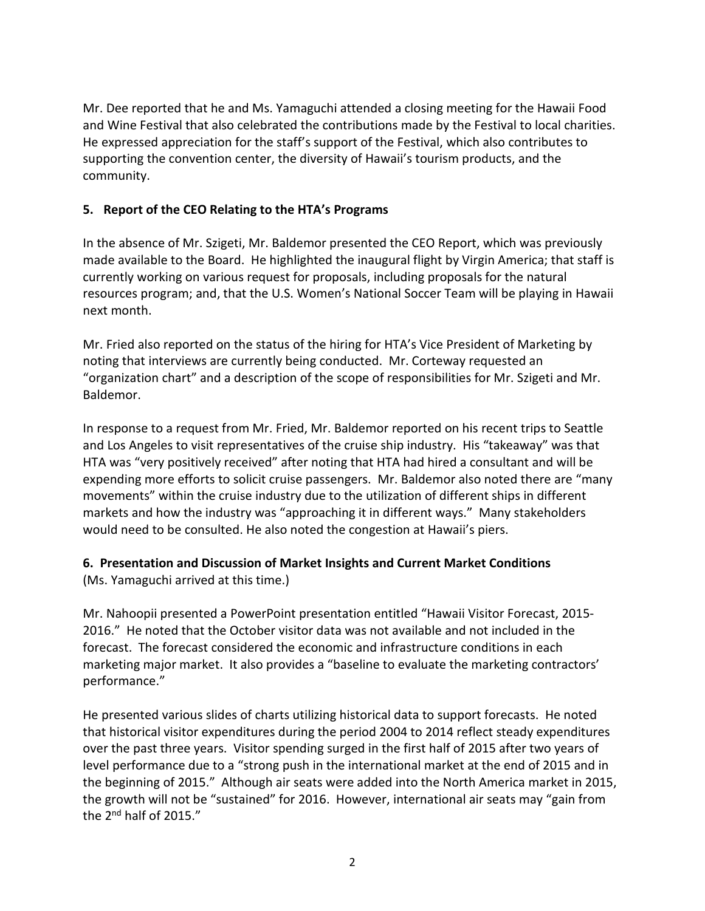Mr. Dee reported that he and Ms. Yamaguchi attended a closing meeting for the Hawaii Food and Wine Festival that also celebrated the contributions made by the Festival to local charities. He expressed appreciation for the staff's support of the Festival, which also contributes to supporting the convention center, the diversity of Hawaii's tourism products, and the community.

# **5. Report of the CEO Relating to the HTA's Programs**

In the absence of Mr. Szigeti, Mr. Baldemor presented the CEO Report, which was previously made available to the Board. He highlighted the inaugural flight by Virgin America; that staff is currently working on various request for proposals, including proposals for the natural resources program; and, that the U.S. Women's National Soccer Team will be playing in Hawaii next month.

Mr. Fried also reported on the status of the hiring for HTA's Vice President of Marketing by noting that interviews are currently being conducted. Mr. Corteway requested an "organization chart" and a description of the scope of responsibilities for Mr. Szigeti and Mr. Baldemor.

In response to a request from Mr. Fried, Mr. Baldemor reported on his recent trips to Seattle and Los Angeles to visit representatives of the cruise ship industry. His "takeaway" was that HTA was "very positively received" after noting that HTA had hired a consultant and will be expending more efforts to solicit cruise passengers. Mr. Baldemor also noted there are "many movements" within the cruise industry due to the utilization of different ships in different markets and how the industry was "approaching it in different ways." Many stakeholders would need to be consulted. He also noted the congestion at Hawaii's piers.

# **6. Presentation and Discussion of Market Insights and Current Market Conditions**

(Ms. Yamaguchi arrived at this time.)

Mr. Nahoopii presented a PowerPoint presentation entitled "Hawaii Visitor Forecast, 2015- 2016." He noted that the October visitor data was not available and not included in the forecast. The forecast considered the economic and infrastructure conditions in each marketing major market. It also provides a "baseline to evaluate the marketing contractors' performance."

He presented various slides of charts utilizing historical data to support forecasts. He noted that historical visitor expenditures during the period 2004 to 2014 reflect steady expenditures over the past three years. Visitor spending surged in the first half of 2015 after two years of level performance due to a "strong push in the international market at the end of 2015 and in the beginning of 2015." Although air seats were added into the North America market in 2015, the growth will not be "sustained" for 2016. However, international air seats may "gain from the 2nd half of 2015."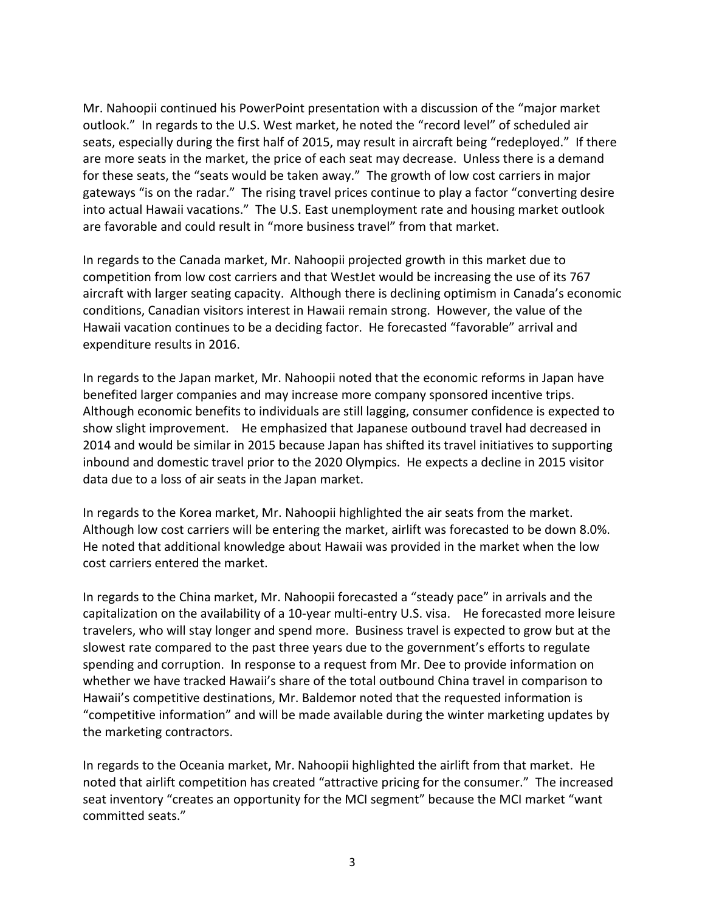Mr. Nahoopii continued his PowerPoint presentation with a discussion of the "major market outlook." In regards to the U.S. West market, he noted the "record level" of scheduled air seats, especially during the first half of 2015, may result in aircraft being "redeployed." If there are more seats in the market, the price of each seat may decrease. Unless there is a demand for these seats, the "seats would be taken away." The growth of low cost carriers in major gateways "is on the radar." The rising travel prices continue to play a factor "converting desire into actual Hawaii vacations." The U.S. East unemployment rate and housing market outlook are favorable and could result in "more business travel" from that market.

In regards to the Canada market, Mr. Nahoopii projected growth in this market due to competition from low cost carriers and that WestJet would be increasing the use of its 767 aircraft with larger seating capacity. Although there is declining optimism in Canada's economic conditions, Canadian visitors interest in Hawaii remain strong. However, the value of the Hawaii vacation continues to be a deciding factor. He forecasted "favorable" arrival and expenditure results in 2016.

In regards to the Japan market, Mr. Nahoopii noted that the economic reforms in Japan have benefited larger companies and may increase more company sponsored incentive trips. Although economic benefits to individuals are still lagging, consumer confidence is expected to show slight improvement. He emphasized that Japanese outbound travel had decreased in 2014 and would be similar in 2015 because Japan has shifted its travel initiatives to supporting inbound and domestic travel prior to the 2020 Olympics. He expects a decline in 2015 visitor data due to a loss of air seats in the Japan market.

In regards to the Korea market, Mr. Nahoopii highlighted the air seats from the market. Although low cost carriers will be entering the market, airlift was forecasted to be down 8.0%. He noted that additional knowledge about Hawaii was provided in the market when the low cost carriers entered the market.

In regards to the China market, Mr. Nahoopii forecasted a "steady pace" in arrivals and the capitalization on the availability of a 10-year multi-entry U.S. visa. He forecasted more leisure travelers, who will stay longer and spend more. Business travel is expected to grow but at the slowest rate compared to the past three years due to the government's efforts to regulate spending and corruption. In response to a request from Mr. Dee to provide information on whether we have tracked Hawaii's share of the total outbound China travel in comparison to Hawaii's competitive destinations, Mr. Baldemor noted that the requested information is "competitive information" and will be made available during the winter marketing updates by the marketing contractors.

In regards to the Oceania market, Mr. Nahoopii highlighted the airlift from that market. He noted that airlift competition has created "attractive pricing for the consumer." The increased seat inventory "creates an opportunity for the MCI segment" because the MCI market "want committed seats."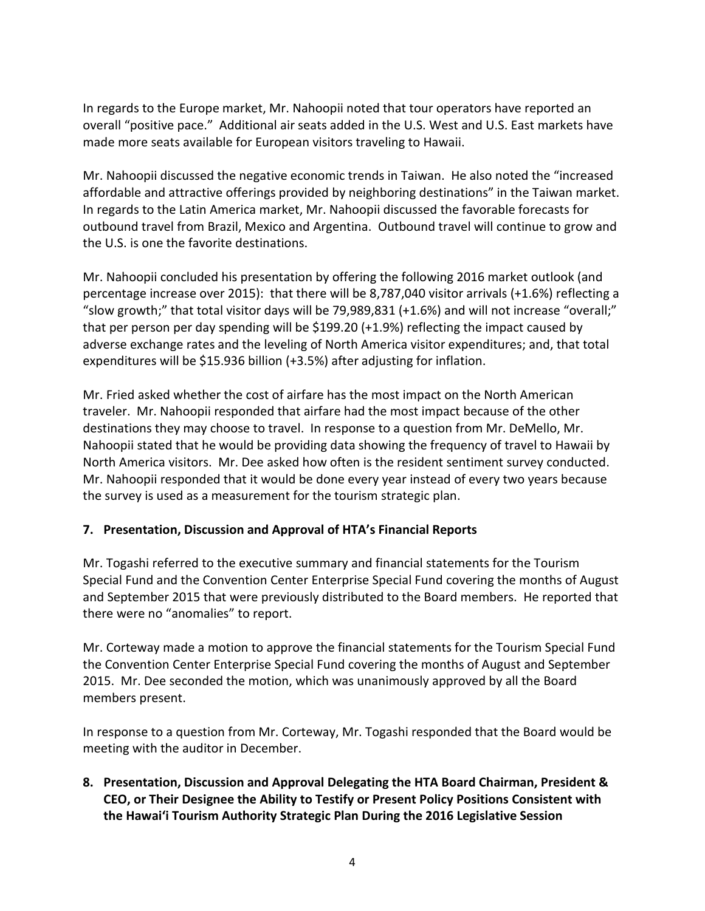In regards to the Europe market, Mr. Nahoopii noted that tour operators have reported an overall "positive pace." Additional air seats added in the U.S. West and U.S. East markets have made more seats available for European visitors traveling to Hawaii.

Mr. Nahoopii discussed the negative economic trends in Taiwan. He also noted the "increased affordable and attractive offerings provided by neighboring destinations" in the Taiwan market. In regards to the Latin America market, Mr. Nahoopii discussed the favorable forecasts for outbound travel from Brazil, Mexico and Argentina. Outbound travel will continue to grow and the U.S. is one the favorite destinations.

Mr. Nahoopii concluded his presentation by offering the following 2016 market outlook (and percentage increase over 2015): that there will be 8,787,040 visitor arrivals (+1.6%) reflecting a "slow growth;" that total visitor days will be 79,989,831 (+1.6%) and will not increase "overall;" that per person per day spending will be \$199.20 (+1.9%) reflecting the impact caused by adverse exchange rates and the leveling of North America visitor expenditures; and, that total expenditures will be \$15.936 billion (+3.5%) after adjusting for inflation.

Mr. Fried asked whether the cost of airfare has the most impact on the North American traveler. Mr. Nahoopii responded that airfare had the most impact because of the other destinations they may choose to travel. In response to a question from Mr. DeMello, Mr. Nahoopii stated that he would be providing data showing the frequency of travel to Hawaii by North America visitors. Mr. Dee asked how often is the resident sentiment survey conducted. Mr. Nahoopii responded that it would be done every year instead of every two years because the survey is used as a measurement for the tourism strategic plan.

### **7. Presentation, Discussion and Approval of HTA's Financial Reports**

Mr. Togashi referred to the executive summary and financial statements for the Tourism Special Fund and the Convention Center Enterprise Special Fund covering the months of August and September 2015 that were previously distributed to the Board members. He reported that there were no "anomalies" to report.

Mr. Corteway made a motion to approve the financial statements for the Tourism Special Fund the Convention Center Enterprise Special Fund covering the months of August and September 2015. Mr. Dee seconded the motion, which was unanimously approved by all the Board members present.

In response to a question from Mr. Corteway, Mr. Togashi responded that the Board would be meeting with the auditor in December.

**8. Presentation, Discussion and Approval Delegating the HTA Board Chairman, President & CEO, or Their Designee the Ability to Testify or Present Policy Positions Consistent with the Hawai'i Tourism Authority Strategic Plan During the 2016 Legislative Session**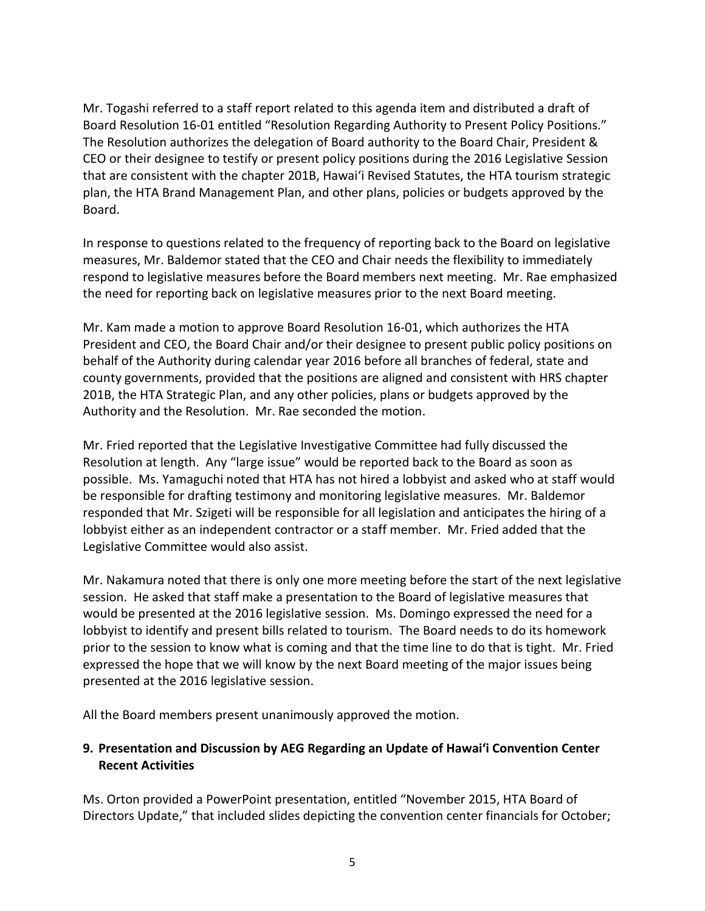Mr. Togashi referred to a staff report related to this agenda item and distributed a draft of Board Resolution 16-01 entitled "Resolution Regarding Authority to Present Policy Positions." The Resolution authorizes the delegation of Board authority to the Board Chair, President & CEO or their designee to testify or present policy positions during the 2016 Legislative Session that are consistent with the chapter 201B, Hawai'i Revised Statutes, the HTA tourism strategic plan, the HTA Brand Management Plan, and other plans, policies or budgets approved by the Board.

In response to questions related to the frequency of reporting back to the Board on legislative measures, Mr. Baldemor stated that the CEO and Chair needs the flexibility to immediately respond to legislative measures before the Board members next meeting. Mr. Rae emphasized the need for reporting back on legislative measures prior to the next Board meeting.

Mr. Kam made a motion to approve Board Resolution 16-01, which authorizes the HTA President and CEO, the Board Chair and/or their designee to present public policy positions on behalf of the Authority during calendar year 2016 before all branches of federal, state and county governments, provided that the positions are aligned and consistent with HRS chapter 201B, the HTA Strategic Plan, and any other policies, plans or budgets approved by the Authority and the Resolution. Mr. Rae seconded the motion.

Mr. Fried reported that the Legislative Investigative Committee had fully discussed the Resolution at length. Any "large issue" would be reported back to the Board as soon as possible. Ms. Yamaguchi noted that HTA has not hired a lobbyist and asked who at staff would be responsible for drafting testimony and monitoring legislative measures. Mr. Baldemor responded that Mr. Szigeti will be responsible for all legislation and anticipates the hiring of a lobbyist either as an independent contractor or a staff member. Mr. Fried added that the Legislative Committee would also assist.

Mr. Nakamura noted that there is only one more meeting before the start of the next legislative session. He asked that staff make a presentation to the Board of legislative measures that would be presented at the 2016 legislative session. Ms. Domingo expressed the need for a lobbyist to identify and present bills related to tourism. The Board needs to do its homework prior to the session to know what is coming and that the time line to do that is tight. Mr. Fried expressed the hope that we will know by the next Board meeting of the major issues being presented at the 2016 legislative session.

All the Board members present unanimously approved the motion.

# **9. Presentation and Discussion by AEG Regarding an Update of Hawai'i Convention Center Recent Activities**

Ms. Orton provided a PowerPoint presentation, entitled "November 2015, HTA Board of Directors Update," that included slides depicting the convention center financials for October;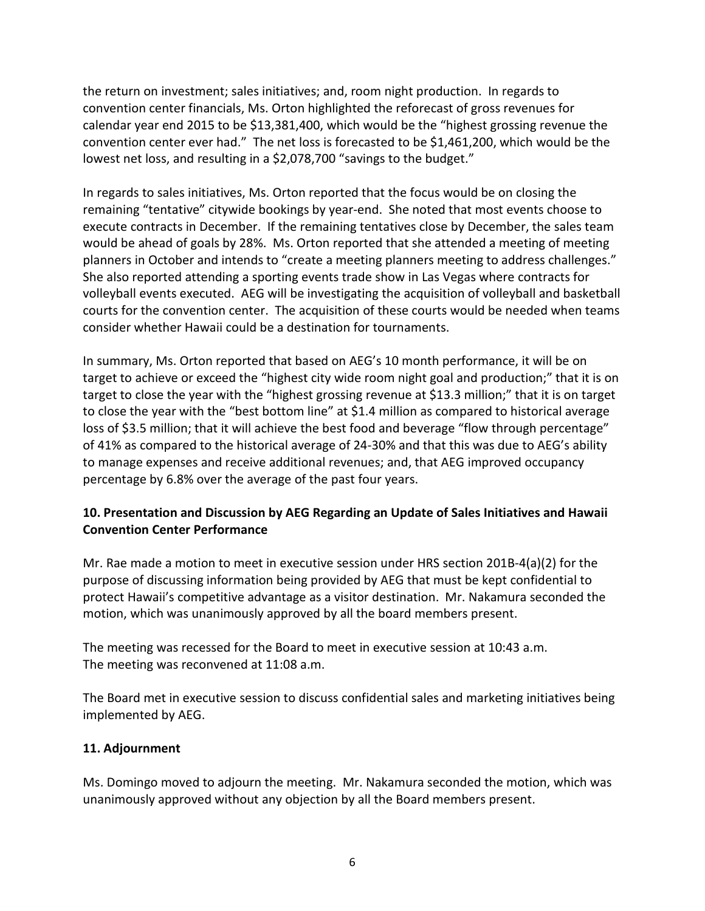the return on investment; sales initiatives; and, room night production. In regards to convention center financials, Ms. Orton highlighted the reforecast of gross revenues for calendar year end 2015 to be \$13,381,400, which would be the "highest grossing revenue the convention center ever had." The net loss is forecasted to be \$1,461,200, which would be the lowest net loss, and resulting in a \$2,078,700 "savings to the budget."

In regards to sales initiatives, Ms. Orton reported that the focus would be on closing the remaining "tentative" citywide bookings by year-end. She noted that most events choose to execute contracts in December. If the remaining tentatives close by December, the sales team would be ahead of goals by 28%. Ms. Orton reported that she attended a meeting of meeting planners in October and intends to "create a meeting planners meeting to address challenges." She also reported attending a sporting events trade show in Las Vegas where contracts for volleyball events executed. AEG will be investigating the acquisition of volleyball and basketball courts for the convention center. The acquisition of these courts would be needed when teams consider whether Hawaii could be a destination for tournaments.

In summary, Ms. Orton reported that based on AEG's 10 month performance, it will be on target to achieve or exceed the "highest city wide room night goal and production;" that it is on target to close the year with the "highest grossing revenue at \$13.3 million;" that it is on target to close the year with the "best bottom line" at \$1.4 million as compared to historical average loss of \$3.5 million; that it will achieve the best food and beverage "flow through percentage" of 41% as compared to the historical average of 24-30% and that this was due to AEG's ability to manage expenses and receive additional revenues; and, that AEG improved occupancy percentage by 6.8% over the average of the past four years.

### **10. Presentation and Discussion by AEG Regarding an Update of Sales Initiatives and Hawaii Convention Center Performance**

Mr. Rae made a motion to meet in executive session under HRS section 201B-4(a)(2) for the purpose of discussing information being provided by AEG that must be kept confidential to protect Hawaii's competitive advantage as a visitor destination. Mr. Nakamura seconded the motion, which was unanimously approved by all the board members present.

The meeting was recessed for the Board to meet in executive session at 10:43 a.m. The meeting was reconvened at 11:08 a.m.

The Board met in executive session to discuss confidential sales and marketing initiatives being implemented by AEG.

### **11. Adjournment**

Ms. Domingo moved to adjourn the meeting. Mr. Nakamura seconded the motion, which was unanimously approved without any objection by all the Board members present.